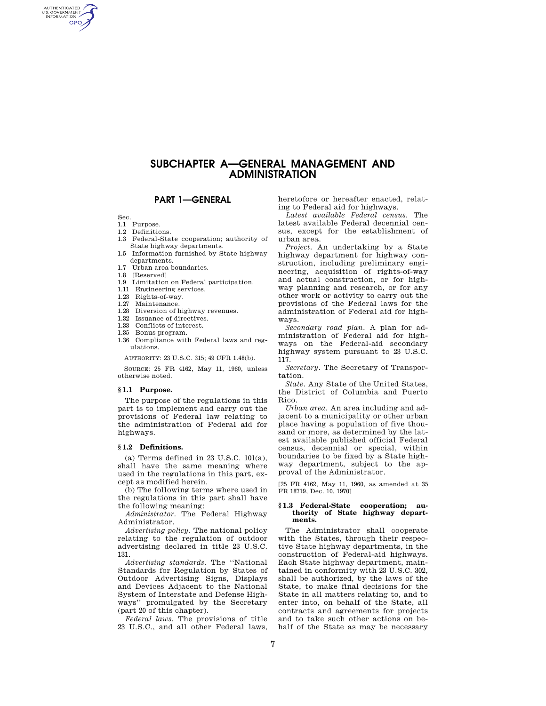# **SUBCHAPTER A—GENERAL MANAGEMENT AND ADMINISTRATION**

**PART 1—GENERAL** 

Sec.

AUTHENTICATED<br>U.S. GOVERNMENT<br>INFORMATION **GPO** 

- 1.1 Purpose.
- 1.2 Definitions.
- 1.3 Federal-State cooperation; authority of State highway departments.
- 1.5 Information furnished by State highway departments.
- 1.7 Urban area boundaries.
- 1.8 [Reserved]
- 1.9 Limitation on Federal participation.
- 1.11 Engineering services.
- 1.23 Rights-of-way.
- 1.27 Maintenance.
- 1.28 Diversion of highway revenues.
- 1.32 Issuance of directives.<br>1.33 Conflicts of interest. Conflicts of interest.
- 1.35 Bonus program.
- 1.36 Compliance with Federal laws and reg-

ulations.

AUTHORITY: 23 U.S.C. 315; 49 CFR 1.48(b).

SOURCE: 25 FR 4162, May 11, 1960, unless otherwise noted.

#### **§ 1.1 Purpose.**

The purpose of the regulations in this part is to implement and carry out the provisions of Federal law relating to the administration of Federal aid for highways.

# **§ 1.2 Definitions.**

 $(a)$  Terms defined in 23 U.S.C. 101 $(a)$ , shall have the same meaning where used in the regulations in this part, except as modified herein.

(b) The following terms where used in the regulations in this part shall have the following meaning:

*Administrator.* The Federal Highway Administrator.

*Advertising policy.* The national policy relating to the regulation of outdoor advertising declared in title 23 U.S.C. 131.

*Advertising standards.* The ''National Standards for Regulation by States of Outdoor Advertising Signs, Displays and Devices Adjacent to the National System of Interstate and Defense Highways'' promulgated by the Secretary (part 20 of this chapter).

*Federal laws.* The provisions of title 23 U.S.C., and all other Federal laws, heretofore or hereafter enacted, relating to Federal aid for highways.

*Latest available Federal census.* The latest available Federal decennial census, except for the establishment of urban area.

*Project.* An undertaking by a State highway department for highway construction, including preliminary engineering, acquisition of rights-of-way and actual construction, or for highway planning and research, or for any other work or activity to carry out the provisions of the Federal laws for the administration of Federal aid for highways.

*Secondary road plan.* A plan for administration of Federal aid for highways on the Federal-aid secondary highway system pursuant to 23 U.S.C. 117.

*Secretary.* The Secretary of Transportation.

*State.* Any State of the United States, the District of Columbia and Puerto Rico.

*Urban area.* An area including and adjacent to a municipality or other urban place having a population of five thousand or more, as determined by the latest available published official Federal census, decennial or special, within boundaries to be fixed by a State highway department, subject to the approval of the Administrator.

[25 FR 4162, May 11, 1960, as amended at 35 FR 18719, Dec. 10, 1970]

## **§ 1.3 Federal-State cooperation; authority of State highway departments.**

The Administrator shall cooperate with the States, through their respective State highway departments, in the construction of Federal-aid highways. Each State highway department, maintained in conformity with 23 U.S.C. 302, shall be authorized, by the laws of the State, to make final decisions for the State in all matters relating to, and to enter into, on behalf of the State, all contracts and agreements for projects and to take such other actions on behalf of the State as may be necessary